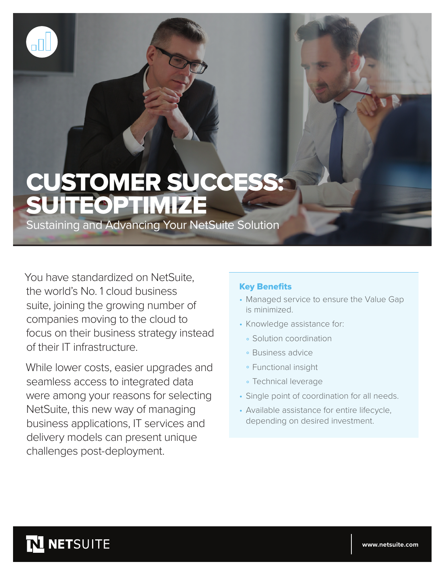

# CUSTOMER SUCCESS: SUITEOPTIMIZE

Sustaining and Advancing Your NetSuite Solution

You have standardized on NetSuite, the world's No. 1 cloud business suite, joining the growing number of companies moving to the cloud to focus on their business strategy instead of their IT infrastructure.

While lower costs, easier upgrades and seamless access to integrated data were among your reasons for selecting NetSuite, this new way of managing business applications, IT services and delivery models can present unique challenges post-deployment.

#### Key Benefits

- Managed service to ensure the Value Gap is minimized.
- Knowledge assistance for:
	- Solution coordination
	- Business advice
	- Functional insight
	- Technical leverage
- Single point of coordination for all needs.
- Available assistance for entire lifecycle, depending on desired investment.

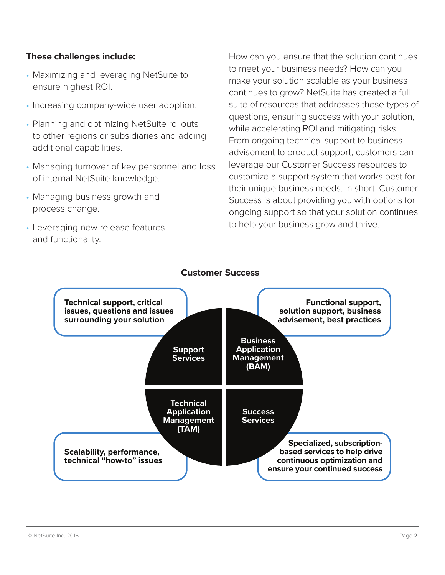#### **These challenges include:**

- Maximizing and leveraging NetSuite to ensure highest ROI.
- Increasing company-wide user adoption.
- Planning and optimizing NetSuite rollouts to other regions or subsidiaries and adding additional capabilities.
- Managing turnover of key personnel and loss of internal NetSuite knowledge.
- Managing business growth and process change.
- Leveraging new release features and functionality.

How can you ensure that the solution continues to meet your business needs? How can you make your solution scalable as your business continues to grow? NetSuite has created a full suite of resources that addresses these types of questions, ensuring success with your solution, while accelerating ROI and mitigating risks. From ongoing technical support to business advisement to product support, customers can leverage our Customer Success resources to customize a support system that works best for their unique business needs. In short, Customer Success is about providing you with options for ongoing support so that your solution continues to help your business grow and thrive.



## **Customer Success**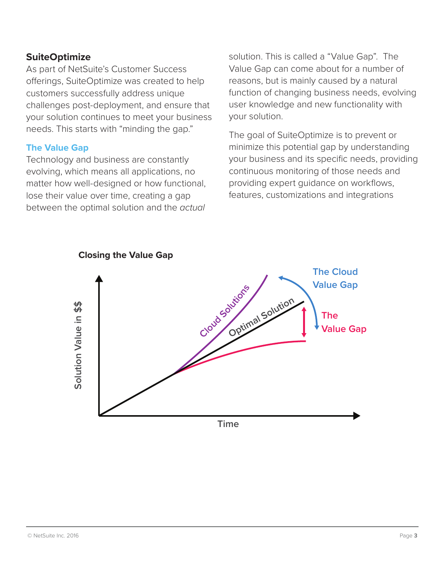#### **SuiteOptimize**

As part of NetSuite's Customer Success offerings, SuiteOptimize was created to help customers successfully address unique challenges post-deployment, and ensure that your solution continues to meet your business needs. This starts with "minding the gap."

#### **The Value Gap**

Technology and business are constantly evolving, which means all applications, no matter how well-designed or how functional, lose their value over time, creating a gap between the optimal solution and the *actual*  solution. This is called a "Value Gap". The Value Gap can come about for a number of reasons, but is mainly caused by a natural function of changing business needs, evolving user knowledge and new functionality with your solution.

The goal of SuiteOptimize is to prevent or minimize this potential gap by understanding your business and its specific needs, providing continuous monitoring of those needs and providing expert guidance on workflows, features, customizations and integrations